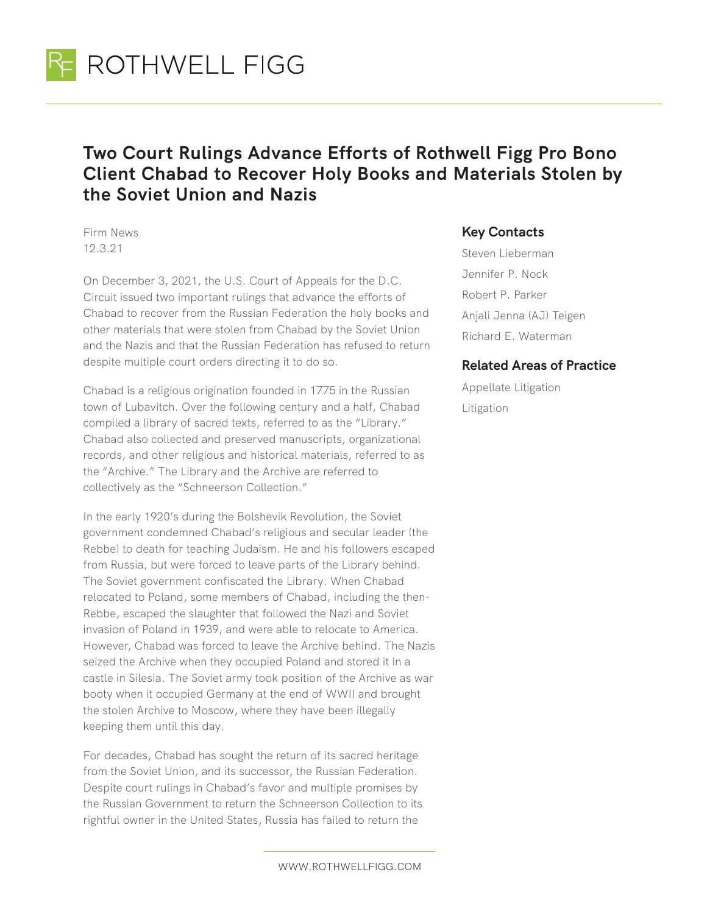

## **Two Court Rulings Advance Efforts of Rothwell Figg Pro Bono Client Chabad to Recover Holy Books and Materials Stolen by the Soviet Union and Nazis**

Firm News 12.3.21

On December 3, 2021, the U.S. Court of Appeals for the D.C. Circuit issued two important rulings that advance the efforts of Chabad to recover from the Russian Federation the holy books and other materials that were stolen from Chabad by the Soviet Union and the Nazis and that the Russian Federation has refused to return despite multiple court orders directing it to do so.

Chabad is a religious origination founded in 1775 in the Russian town of Lubavitch. Over the following century and a half, Chabad compiled a library of sacred texts, referred to as the "Library." Chabad also collected and preserved manuscripts, organizational records, and other religious and historical materials, referred to as the "Archive." The Library and the Archive are referred to collectively as the "Schneerson Collection."

In the early 1920's during the Bolshevik Revolution, the Soviet government condemned Chabad's religious and secular leader (the Rebbe) to death for teaching Judaism. He and his followers escaped from Russia, but were forced to leave parts of the Library behind. The Soviet government confiscated the Library. When Chabad relocated to Poland, some members of Chabad, including the then-Rebbe, escaped the slaughter that followed the Nazi and Soviet invasion of Poland in 1939, and were able to relocate to America. However, Chabad was forced to leave the Archive behind. The Nazis seized the Archive when they occupied Poland and stored it in a castle in Silesia. The Soviet army took position of the Archive as war booty when it occupied Germany at the end of WWII and brought the stolen Archive to Moscow, where they have been illegally keeping them until this day.

For decades, Chabad has sought the return of its sacred heritage from the Soviet Union, and its successor, the Russian Federation. Despite court rulings in Chabad's favor and multiple promises by the Russian Government to return the Schneerson Collection to its rightful owner in the United States, Russia has failed to return the

## **Key Contacts**

Steven Lieberman Jennifer P. Nock Robert P. Parker Anjali Jenna (AJ) Teigen Richard E. Waterman

## **Related Areas of Practice**

Appellate Litigation Litigation